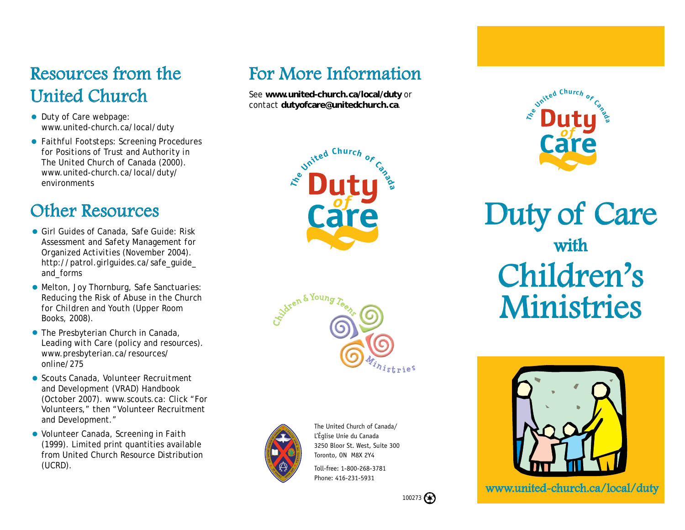#### Resources from the United Church

- Duty of Care webpage: www.united-church.ca/local/duty
- *Faithful Footsteps: Screening Procedures for Positions of Trust and Authority in The United Church of Canada* (2000). www.united-church.ca/local/duty/ environments

### Other Resources

- Girl Guides of Canada, *Safe Guide: Risk Assessment and Safety Management for Organized Activities* (November 2004). http://patrol.girlguides.ca/safe\_guide\_ and\_forms
- Melton, Joy Thornburg, *Safe Sanctuaries: Reducing the Risk of Abuse in the Church for Children and Youth* (Upper Room Books, 2008).
- The Presbyterian Church in Canada, *Leading with Care* (policy and resources). www.presbyterian.ca/resources/ online/275
- Scouts Canada, *Volunteer Recruitment and Development (VRAD) Handbook* (October 2007). www.scouts.ca: Click "For Volunteers," then "Volunteer Recruitment and Development."
- Volunteer Canada, *Screening in Faith* (1999). Limited print quantities available from United Church Resource Distribution (UCRD).

# For More Information

See **www.united-church.ca/local/duty** or contact **dutyofcare@unitedchurch.ca**.







The United Church of Canada/ L'Église Unie du Canada 3250 Bloor St. West, Suite 300 Toronto, ON M8X 2Y4

Toll-free: 1-800-268-3781 Phone: 416-231-5931



Duty of Care with Children's Ministries